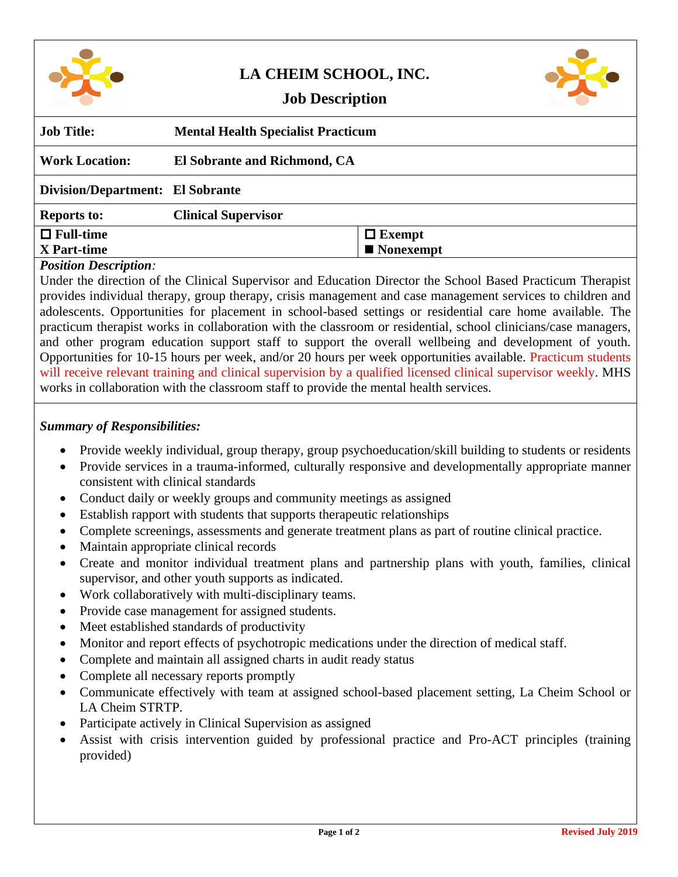|--|

# **LA CHEIM SCHOOL, INC.**



## **Job Description**

| <b>Job Title:</b>                | <b>Mental Health Specialist Practicum</b> |                          |
|----------------------------------|-------------------------------------------|--------------------------|
| <b>Work Location:</b>            | El Sobrante and Richmond, CA              |                          |
| Division/Department: El Sobrante |                                           |                          |
| <b>Reports to:</b>               | <b>Clinical Supervisor</b>                |                          |
| $\Box$ Full-time                 |                                           | $\Box$ Exempt            |
| X Part-time                      |                                           | $\blacksquare$ Nonexempt |
|                                  |                                           |                          |

### *Position Description:*

Under the direction of the Clinical Supervisor and Education Director the School Based Practicum Therapist provides individual therapy, group therapy, crisis management and case management services to children and adolescents. Opportunities for placement in school-based settings or residential care home available. The practicum therapist works in collaboration with the classroom or residential, school clinicians/case managers, and other program education support staff to support the overall wellbeing and development of youth. Opportunities for 10-15 hours per week, and/or 20 hours per week opportunities available. Practicum students will receive relevant training and clinical supervision by a qualified licensed clinical supervisor weekly. MHS works in collaboration with the classroom staff to provide the mental health services.

### *Summary of Responsibilities:*

- Provide weekly individual, group therapy, group psychoeducation/skill building to students or residents
- Provide services in a trauma-informed, culturally responsive and developmentally appropriate manner consistent with clinical standards
- Conduct daily or weekly groups and community meetings as assigned
- Establish rapport with students that supports therapeutic relationships
- Complete screenings, assessments and generate treatment plans as part of routine clinical practice.
- Maintain appropriate clinical records
- Create and monitor individual treatment plans and partnership plans with youth, families, clinical supervisor, and other youth supports as indicated.
- Work collaboratively with multi-disciplinary teams.
- Provide case management for assigned students.
- Meet established standards of productivity
- Monitor and report effects of psychotropic medications under the direction of medical staff.
- Complete and maintain all assigned charts in audit ready status
- Complete all necessary reports promptly
- Communicate effectively with team at assigned school-based placement setting, La Cheim School or LA Cheim STRTP.
- Participate actively in Clinical Supervision as assigned
- Assist with crisis intervention guided by professional practice and Pro-ACT principles (training provided)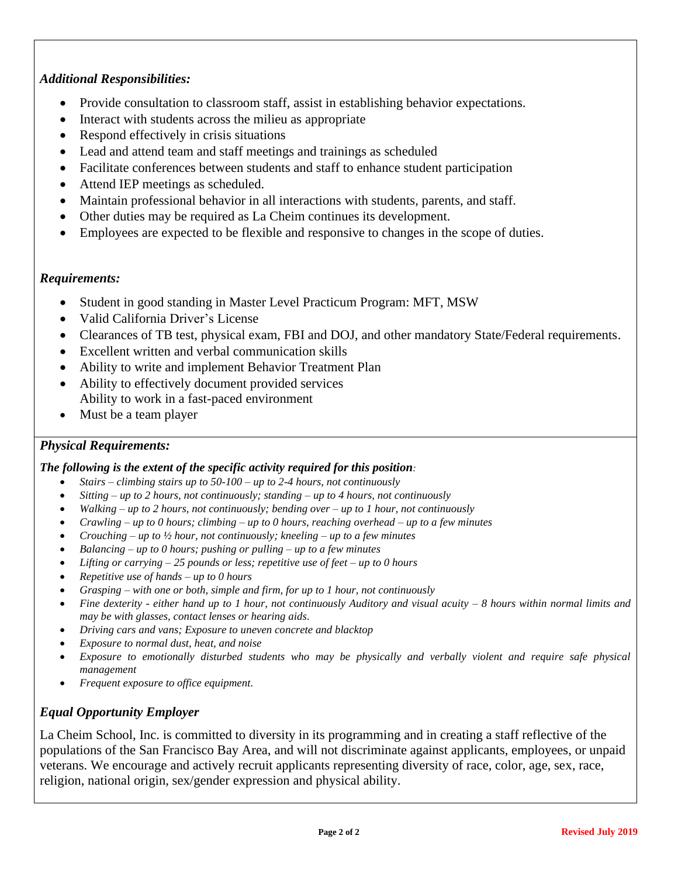### *Additional Responsibilities:*

- Provide consultation to classroom staff, assist in establishing behavior expectations.
- Interact with students across the milieu as appropriate
- Respond effectively in crisis situations
- Lead and attend team and staff meetings and trainings as scheduled
- Facilitate conferences between students and staff to enhance student participation
- Attend IEP meetings as scheduled.
- Maintain professional behavior in all interactions with students, parents, and staff.
- Other duties may be required as La Cheim continues its development.
- Employees are expected to be flexible and responsive to changes in the scope of duties.

### *Requirements:*

- Student in good standing in Master Level Practicum Program: MFT, MSW
- Valid California Driver's License
- Clearances of TB test, physical exam, FBI and DOJ, and other mandatory State/Federal requirements.
- Excellent written and verbal communication skills
- Ability to write and implement Behavior Treatment Plan
- Ability to effectively document provided services Ability to work in a fast-paced environment
- Must be a team player

### *Physical Requirements:*

#### *The following is the extent of the specific activity required for this position:*

- *Stairs – climbing stairs up to 50-100 – up to 2-4 hours, not continuously*
- *Sitting – up to 2 hours, not continuously; standing – up to 4 hours, not continuously*
- *Walking – up to 2 hours, not continuously; bending over – up to 1 hour, not continuously*
- *Crawling – up to 0 hours; climbing – up to 0 hours, reaching overhead – up to a few minutes*
- *Crouching – up to ½ hour, not continuously; kneeling – up to a few minutes*
- *Balancing – up to 0 hours; pushing or pulling – up to a few minutes*
- *Lifting or carrying – 25 pounds or less; repetitive use of feet – up to 0 hours*
- *Repetitive use of hands – up to 0 hours*
- *Grasping – with one or both, simple and firm, for up to 1 hour, not continuously*
- *Fine dexterity - either hand up to 1 hour, not continuously Auditory and visual acuity – 8 hours within normal limits and may be with glasses, contact lenses or hearing aids.*
- *Driving cars and vans; Exposure to uneven concrete and blacktop*
- *Exposure to normal dust, heat, and noise*
- *Exposure to emotionally disturbed students who may be physically and verbally violent and require safe physical management*
- *Frequent exposure to office equipment.*

### *Equal Opportunity Employer*

La Cheim School, Inc. is committed to diversity in its programming and in creating a staff reflective of the populations of the San Francisco Bay Area, and will not discriminate against applicants, employees, or unpaid veterans. We encourage and actively recruit applicants representing diversity of race, color, age, sex, race, religion, national origin, sex/gender expression and physical ability.